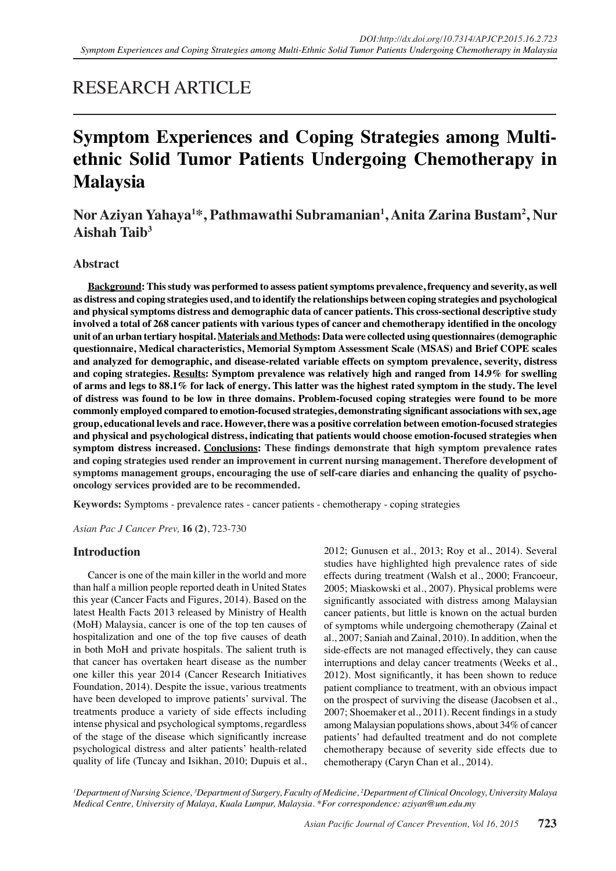# RESEARCH ARTICLE

# **Symptom Experiences and Coping Strategies among Multiethnic Solid Tumor Patients Undergoing Chemotherapy in Malaysia**

# **Nor Aziyan Yahaya1 \*, Pathmawathi Subramanian1 , Anita Zarina Bustam2 , Nur Aishah Taib3**

# **Abstract**

**Background: This study was performed to assess patient symptoms prevalence, frequency and severity, as well as distress and coping strategies used, and to identify the relationships between coping strategies and psychological and physical symptoms distress and demographic data of cancer patients. This cross-sectional descriptive study involved a total of 268 cancer patients with various types of cancer and chemotherapy identified in the oncology unit of an urban tertiary hospital. Materials and Methods: Data were collected using questionnaires (demographic questionnaire, Medical characteristics, Memorial Symptom Assessment Scale (MSAS) and Brief COPE scales and analyzed for demographic, and disease-related variable effects on symptom prevalence, severity, distress and coping strategies. Results: Symptom prevalence was relatively high and ranged from 14.9% for swelling of arms and legs to 88.1% for lack of energy. This latter was the highest rated symptom in the study. The level of distress was found to be low in three domains. Problem-focused coping strategies were found to be more commonly employed compared to emotion-focused strategies, demonstrating significant associations with sex, age group, educational levels and race. However, there was a positive correlation between emotion-focused strategies and physical and psychological distress, indicating that patients would choose emotion-focused strategies when symptom distress increased. Conclusions: These findings demonstrate that high symptom prevalence rates and coping strategies used render an improvement in current nursing management. Therefore development of symptoms management groups, encouraging the use of self-care diaries and enhancing the quality of psychooncology services provided are to be recommended.**

**Keywords:** Symptoms - prevalence rates - cancer patients - chemotherapy - coping strategies

*Asian Pac J Cancer Prev,* **16 (2)**, 723-730

# **Introduction**

Cancer is one of the main killer in the world and more than half a million people reported death in United States this year (Cancer Facts and Figures, 2014). Based on the latest Health Facts 2013 released by Ministry of Health (MoH) Malaysia, cancer is one of the top ten causes of hospitalization and one of the top five causes of death in both MoH and private hospitals. The salient truth is that cancer has overtaken heart disease as the number one killer this year 2014 (Cancer Research Initiatives Foundation, 2014). Despite the issue, various treatments have been developed to improve patients' survival. The treatments produce a variety of side effects including intense physical and psychological symptoms, regardless of the stage of the disease which significantly increase psychological distress and alter patients' health-related quality of life (Tuncay and Isikhan, 2010; Dupuis et al.,

2012; Gunusen et al., 2013; Roy et al., 2014). Several studies have highlighted high prevalence rates of side effects during treatment (Walsh et al., 2000; Francoeur, 2005; Miaskowski et al., 2007). Physical problems were significantly associated with distress among Malaysian cancer patients, but little is known on the actual burden of symptoms while undergoing chemotherapy (Zainal et al., 2007; Saniah and Zainal, 2010). In addition, when the side-effects are not managed effectively, they can cause interruptions and delay cancer treatments (Weeks et al., 2012). Most significantly, it has been shown to reduce patient compliance to treatment, with an obvious impact on the prospect of surviving the disease (Jacobsen et al., 2007; Shoemaker et al., 2011). Recent findings in a study among Malaysian populations shows, about 34% of cancer patients' had defaulted treatment and do not complete chemotherapy because of severity side effects due to chemotherapy (Caryn Chan et al., 2014).

*1 Department of Nursing Science, 3 Department of Surgery, Faculty of Medicine, 2 Department of Clinical Oncology, University Malaya Medical Centre, University of Malaya, Kuala Lumpur, Malaysia. \*For correspondence: aziyan@um.edu.my*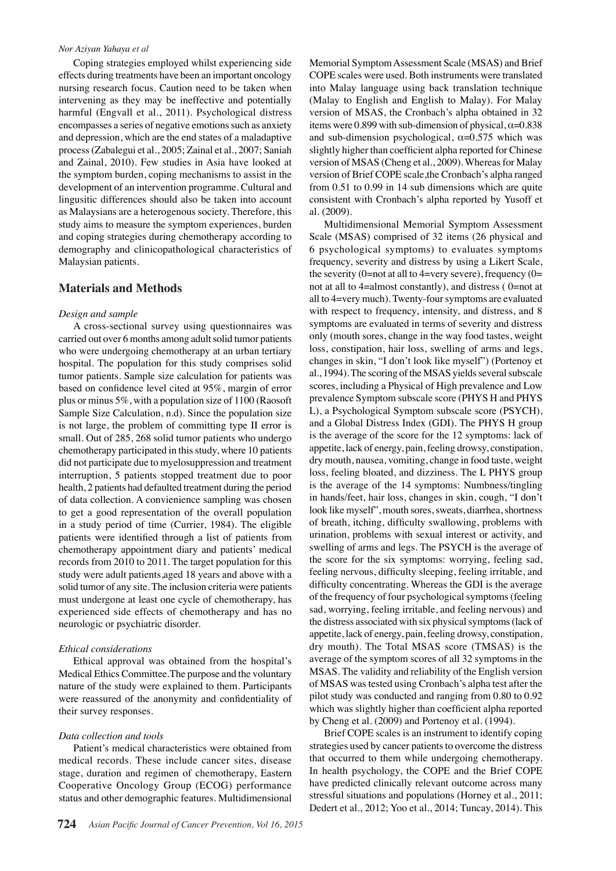#### *Nor Aziyan Yahaya et al*

Coping strategies employed whilst experiencing side effects during treatments have been an important oncology nursing research focus. Caution need to be taken when intervening as they may be ineffective and potentially harmful (Engvall et al., 2011). Psychological distress encompasses a series of negative emotions such as anxiety and depression, which are the end states of a maladaptive process (Zabalegui et al., 2005; Zainal et al., 2007; Saniah and Zainal, 2010). Few studies in Asia have looked at the symptom burden, coping mechanisms to assist in the development of an intervention programme. Cultural and lingusitic differences should also be taken into account as Malaysians are a heterogenous society. Therefore, this study aims to measure the symptom experiences, burden and coping strategies during chemotherapy according to demography and clinicopathological characteristics of Malaysian patients.

# **Materials and Methods**

#### *Design and sample*

A cross-sectional survey using questionnaires was carried out over 6 months among adult solid tumor patients who were undergoing chemotherapy at an urban tertiary hospital. The population for this study comprises solid tumor patients. Sample size calculation for patients was based on confidence level cited at 95%, margin of error plus or minus 5%, with a population size of 1100 (Raosoft Sample Size Calculation, n.d). Since the population size is not large, the problem of committing type II error is small. Out of 285, 268 solid tumor patients who undergo chemotherapy participated in this study, where 10 patients did not participate due to myelosuppression and treatment interruption, 5 patients stopped treatment due to poor health, 2 patients had defaulted treatment during the period of data collection. A convienience sampling was chosen to get a good representation of the overall population in a study period of time (Currier, 1984). The eligible patients were identified through a list of patients from chemotherapy appointment diary and patients' medical records from 2010 to 2011. The target population for this study were adult patients,aged 18 years and above with a solid tumor of any site. The inclusion criteria were patients must undergone at least one cycle of chemotherapy, has experienced side effects of chemotherapy and has no neurologic or psychiatric disorder.

#### *Ethical considerations*

Ethical approval was obtained from the hospital's Medical Ethics Committee.The purpose and the voluntary nature of the study were explained to them. Participants were reassured of the anonymity and confidentiality of their survey responses.

#### *Data collection and tools*

Patient's medical characteristics were obtained from medical records. These include cancer sites, disease stage, duration and regimen of chemotherapy, Eastern Cooperative Oncology Group (ECOG) performance status and other demographic features. Multidimensional

Memorial Symptom Assessment Scale (MSAS) and Brief COPE scales were used. Both instruments were translated into Malay language using back translation technique (Malay to English and English to Malay). For Malay version of MSAS, the Cronbach's alpha obtained in 32 items were 0.899 with sub-dimension of physical,  $\alpha$ =0.838 and sub-dimension psychological,  $\alpha$ =0.575 which was slightly higher than coefficient alpha reported for Chinese version of MSAS (Cheng et al., 2009). Whereas for Malay version of Brief COPE scale,the Cronbach's alpha ranged from 0.51 to 0.99 in 14 sub dimensions which are quite consistent with Cronbach's alpha reported by Yusoff et al. (2009).

Multidimensional Memorial Symptom Assessment Scale (MSAS) comprised of 32 items (26 physical and 6 psychological symptoms) to evaluates symptoms frequency, severity and distress by using a Likert Scale, the severity (0=not at all to 4=very severe), frequency (0= not at all to 4=almost constantly), and distress ( 0=not at all to 4=very much). Twenty-four symptoms are evaluated with respect to frequency, intensity, and distress, and 8 symptoms are evaluated in terms of severity and distress only (mouth sores, change in the way food tastes, weight loss, constipation, hair loss, swelling of arms and legs, changes in skin, "I don't look like myself") (Portenoy et al., 1994). The scoring of the MSAS yields several subscale scores, including a Physical of High prevalence and Low prevalence Symptom subscale score (PHYS H and PHYS L), a Psychological Symptom subscale score (PSYCH), and a Global Distress Index (GDI). The PHYS H group is the average of the score for the 12 symptoms: lack of appetite, lack of energy, pain, feeling drowsy, constipation, dry mouth, nausea, vomiting, change in food taste, weight loss, feeling bloated, and dizziness. The L PHYS group is the average of the 14 symptoms: Numbness/tingling in hands/feet, hair loss, changes in skin, cough, "I don't look like myself", mouth sores, sweats, diarrhea, shortness of breath, itching, difficulty swallowing, problems with urination, problems with sexual interest or activity, and swelling of arms and legs. The PSYCH is the average of the score for the six symptoms: worrying, feeling sad, feeling nervous, difficulty sleeping, feeling irritable, and difficulty concentrating. Whereas the GDI is the average of the frequency of four psychological symptoms (feeling sad, worrying, feeling irritable, and feeling nervous) and the distress associated with six physical symptoms (lack of appetite, lack of energy, pain, feeling drowsy, constipation, dry mouth). The Total MSAS score (TMSAS) is the average of the symptom scores of all 32 symptoms in the MSAS. The validity and reliability of the English version of MSAS was tested using Cronbach's alpha test after the pilot study was conducted and ranging from 0.80 to 0.92 which was slightly higher than coefficient alpha reported by Cheng et al. (2009) and Portenoy et al. (1994).

Brief COPE scales is an instrument to identify coping strategies used by cancer patients to overcome the distress that occurred to them while undergoing chemotherapy. In health psychology, the COPE and the Brief COPE have predicted clinically relevant outcome across many stressful situations and populations (Horney et al., 2011; Dedert et al., 2012; Yoo et al., 2014; Tuncay, 2014). This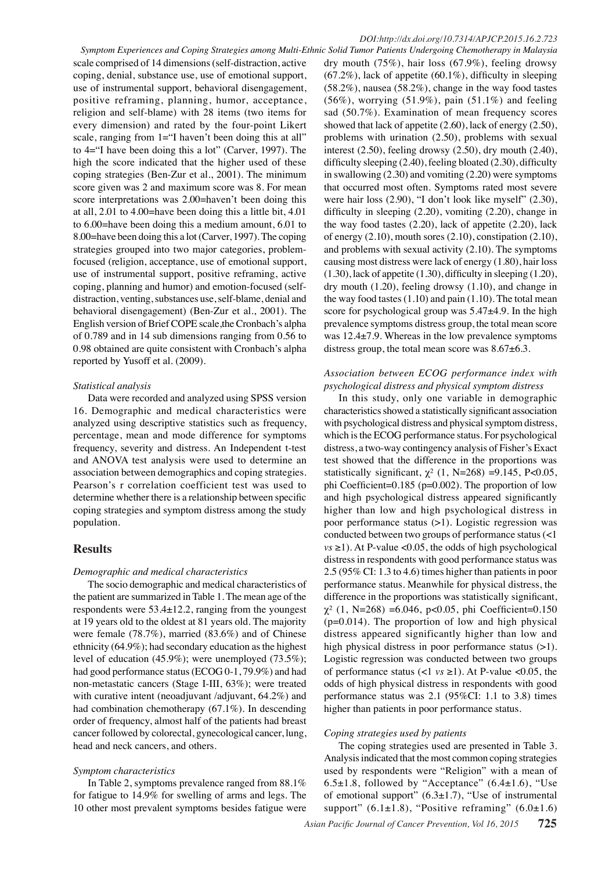*Symptom Experiences and Coping Strategies among Multi-Ethnic Solid Tumor Patients Undergoing Chemotherapy in Malaysia* scale comprised of 14 dimensions (self-distraction, active coping, denial, substance use, use of emotional support, use of instrumental support, behavioral disengagement, positive reframing, planning, humor, acceptance, religion and self-blame) with 28 items (two items for every dimension) and rated by the four-point Likert scale, ranging from 1="I haven't been doing this at all" to 4="I have been doing this a lot" (Carver, 1997). The high the score indicated that the higher used of these coping strategies (Ben-Zur et al., 2001). The minimum score given was 2 and maximum score was 8. For mean score interpretations was 2.00=haven't been doing this at all, 2.01 to 4.00=have been doing this a little bit, 4.01 to 6.00=have been doing this a medium amount, 6.01 to 8.00=have been doing this a lot (Carver, 1997). The coping strategies grouped into two major categories, problemfocused (religion, acceptance, use of emotional support, use of instrumental support, positive reframing, active coping, planning and humor) and emotion-focused (selfdistraction, venting, substances use, self-blame, denial and behavioral disengagement) (Ben-Zur et al., 2001). The English version of Brief COPE scale,the Cronbach's alpha of 0.789 and in 14 sub dimensions ranging from 0.56 to 0.98 obtained are quite consistent with Cronbach's alpha reported by Yusoff et al. (2009).

#### *Statistical analysis*

Data were recorded and analyzed using SPSS version 16. Demographic and medical characteristics were analyzed using descriptive statistics such as frequency, percentage, mean and mode difference for symptoms frequency, severity and distress. An Independent t-test and ANOVA test analysis were used to determine an association between demographics and coping strategies. Pearson's r correlation coefficient test was used to determine whether there is a relationship between specific coping strategies and symptom distress among the study population.

# **Results**

#### *Demographic and medical characteristics*

The socio demographic and medical characteristics of the patient are summarized in Table 1. The mean age of the respondents were 53.4±12.2, ranging from the youngest at 19 years old to the oldest at 81 years old. The majority were female (78.7%), married (83.6%) and of Chinese ethnicity (64.9%); had secondary education as the highest level of education (45.9%); were unemployed (73.5%); had good performance status (ECOG 0-1, 79.9%) and had non-metastatic cancers (Stage I-III, 63%); were treated with curative intent (neoadjuvant /adjuvant, 64.2%) and had combination chemotherapy (67.1%). In descending order of frequency, almost half of the patients had breast cancer followed by colorectal, gynecological cancer, lung, head and neck cancers, and others.

#### *Symptom characteristics*

In Table 2, symptoms prevalence ranged from 88.1% for fatigue to 14.9% for swelling of arms and legs. The 10 other most prevalent symptoms besides fatigue were

dry mouth (75%), hair loss (67.9%), feeling drowsy  $(67.2\%)$ , lack of appetite  $(60.1\%)$ , difficulty in sleeping (58.2%), nausea (58.2%), change in the way food tastes  $(56\%)$ , worrying  $(51.9\%)$ , pain  $(51.1\%)$  and feeling sad (50.7%). Examination of mean frequency scores showed that lack of appetite (2.60), lack of energy (2.50), problems with urination (2.50), problems with sexual interest (2.50), feeling drowsy (2.50), dry mouth (2.40), difficulty sleeping (2.40), feeling bloated (2.30), difficulty in swallowing (2.30) and vomiting (2.20) were symptoms that occurred most often. Symptoms rated most severe were hair loss (2.90), "I don't look like myself" (2.30), difficulty in sleeping (2.20), vomiting (2.20), change in the way food tastes (2.20), lack of appetite (2.20), lack of energy (2.10), mouth sores (2.10), constipation (2.10), and problems with sexual activity (2.10). The symptoms causing most distress were lack of energy (1.80), hair loss (1.30), lack of appetite (1.30), difficulty in sleeping (1.20), dry mouth (1.20), feeling drowsy (1.10), and change in the way food tastes (1.10) and pain (1.10). The total mean score for psychological group was  $5.47\pm4.9$ . In the high prevalence symptoms distress group, the total mean score was 12.4±7.9. Whereas in the low prevalence symptoms distress group, the total mean score was 8.67±6.3.

### *Association between ECOG performance index with psychological distress and physical symptom distress*

In this study, only one variable in demographic characteristics showed a statistically significant association with psychological distress and physical symptom distress, which is the ECOG performance status. For psychological distress, a two-way contingency analysis of Fisher's Exact test showed that the difference in the proportions was statistically significant,  $\gamma^2$  (1, N=268) =9.145, P<0.05, phi Coefficient=0.185 (p=0.002). The proportion of low and high psychological distress appeared significantly higher than low and high psychological distress in poor performance status (>1). Logistic regression was conducted between two groups of performance status (<1  $vs \ge 1$ ). At P-value <0.05, the odds of high psychological distress in respondents with good performance status was 2.5 (95% CI: 1.3 to 4.6) times higher than patients in poor performance status. Meanwhile for physical distress, the difference in the proportions was statistically significant, χ² (1, N=268) =6.046, p<0.05, phi Coefficient=0.150  $(p=0.014)$ . The proportion of low and high physical distress appeared significantly higher than low and high physical distress in poor performance status (>1). Logistic regression was conducted between two groups of performance status (<1 *vs* ≥1). At P-value <0.05, the odds of high physical distress in respondents with good performance status was 2.1 (95%CI: 1.1 to 3.8) times higher than patients in poor performance status.

#### *Coping strategies used by patients*

The coping strategies used are presented in Table 3. Analysis indicated that the most common coping strategies used by respondents were "Religion" with a mean of 6.5 $\pm$ 1.8, followed by "Acceptance" (6.4 $\pm$ 1.6), "Use of emotional support"  $(6.3 \pm 1.7)$ , "Use of instrumental support"  $(6.1\pm1.8)$ , "Positive reframing"  $(6.0\pm1.6)$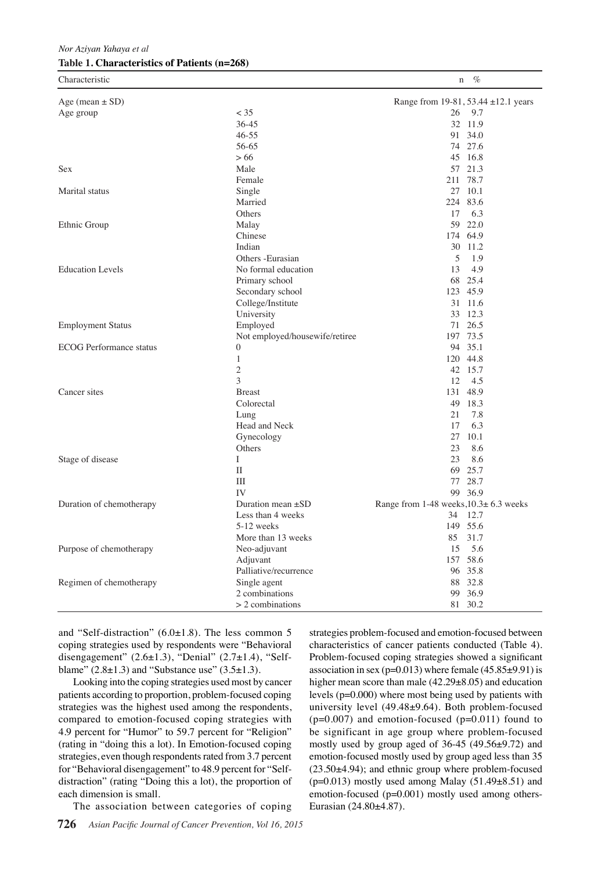*Nor Aziyan Yahaya et al* **Table 1. Characteristics of Patients (n=268)**

| Characteristic                 |                                | %<br>n                                 |
|--------------------------------|--------------------------------|----------------------------------------|
| Age (mean $\pm$ SD)            |                                | Range from 19-81, 53.44 ±12.1 years    |
| Age group                      | $<$ 35                         | 26 9.7                                 |
|                                | 36-45                          | 32 11.9                                |
|                                | $46 - 55$                      | 91 34.0                                |
|                                | 56-65                          | 74 27.6                                |
|                                | > 66                           | 45 16.8                                |
| Sex                            | Male                           | 57 21.3                                |
|                                | Female                         | 78.7<br>211                            |
| Marital status                 | Single                         | 27 10.1                                |
|                                | Married                        | 224 83.6                               |
|                                | Others                         | 17<br>6.3                              |
| Ethnic Group                   | Malay                          | 59 22.0                                |
|                                | Chinese                        | 174 64.9                               |
|                                | Indian                         | 30 11.2                                |
|                                | Others -Eurasian               | 5<br>1.9                               |
| <b>Education Levels</b>        | No formal education            | 13<br>4.9                              |
|                                | Primary school                 | 68 25.4                                |
|                                | Secondary school               | 123 45.9                               |
|                                | College/Institute              | 31 11.6                                |
|                                | University                     | 33 12.3                                |
| <b>Employment Status</b>       | Employed                       | 71 26.5                                |
|                                | Not employed/housewife/retiree | 197 73.5                               |
| <b>ECOG</b> Performance status | $\boldsymbol{0}$               | 94 35.1                                |
|                                | $\mathbf{1}$                   | 120 44.8                               |
|                                | $\mathfrak{2}$                 | 42 15.7                                |
|                                | 3                              | 12<br>4.5                              |
| Cancer sites                   | <b>B</b> reast                 | 131 48.9                               |
|                                | Colorectal                     | 49 18.3                                |
|                                | Lung                           | 21<br>7.8                              |
|                                | Head and Neck                  | 17<br>6.3                              |
|                                | Gynecology                     | 27<br>10.1                             |
|                                | Others                         | 23<br>8.6                              |
| Stage of disease               | Ι                              | 23<br>8.6                              |
|                                | $\mathbf{I}$                   | 69<br>25.7                             |
|                                | III                            | 28.7<br>77                             |
|                                | IV                             | 99 36.9                                |
| Duration of chemotherapy       | Duration mean $\pm SD$         | Range from 1-48 weeks, 10.3± 6.3 weeks |
|                                | Less than 4 weeks              | 34<br>- 12.7                           |
|                                | 5-12 weeks                     | 149 55.6                               |
|                                | More than 13 weeks             | 85 31.7                                |
| Purpose of chemotherapy        | Neo-adjuvant                   | 5.6<br>15                              |
|                                | Adjuvant                       | 157 58.6                               |
|                                | Palliative/recurrence          | 96 35.8                                |
| Regimen of chemotherapy        | Single agent                   | 88 32.8                                |
|                                | 2 combinations                 | 99 36.9                                |
|                                | $> 2$ combinations             | 81 30.2                                |
|                                |                                |                                        |

and "Self-distraction"  $(6.0\pm1.8)$ . The less common 5 coping strategies used by respondents were "Behavioral disengagement" (2.6±1.3), "Denial" (2.7±1.4), "Selfblame"  $(2.8 \pm 1.3)$  and "Substance use"  $(3.5 \pm 1.3)$ .

Looking into the coping strategies used most by cancer patients according to proportion, problem-focused coping strategies was the highest used among the respondents, compared to emotion-focused coping strategies with 4.9 percent for "Humor" to 59.7 percent for "Religion" (rating in "doing this a lot). In Emotion-focused coping strategies, even though respondents rated from 3.7 percent for "Behavioral disengagement" to 48.9 percent for "Selfdistraction" (rating "Doing this a lot), the proportion of each dimension is small.

The association between categories of coping

**726** *Asian Pacific Journal of Cancer Prevention, Vol 16, 2015*

strategies problem-focused and emotion-focused between characteristics of cancer patients conducted (Table 4). Problem-focused coping strategies showed a significant association in sex ( $p=0.013$ ) where female ( $45.85\pm9.91$ ) is higher mean score than male (42.29±8.05) and education levels (p=0.000) where most being used by patients with university level (49.48±9.64). Both problem-focused  $(p=0.007)$  and emotion-focused  $(p=0.011)$  found to be significant in age group where problem-focused mostly used by group aged of 36-45 (49.56±9.72) and emotion-focused mostly used by group aged less than 35 (23.50±4.94); and ethnic group where problem-focused  $(p=0.013)$  mostly used among Malay  $(51.49\pm8.51)$  and emotion-focused (p=0.001) mostly used among others-Eurasian (24.80±4.87).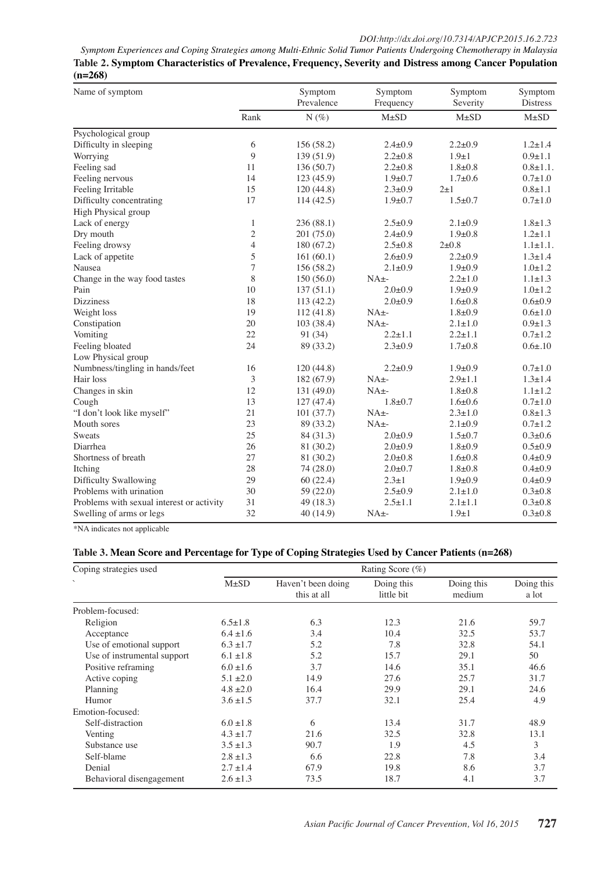*Symptom Experiences and Coping Strategies among Multi-Ethnic Solid Tumor Patients Undergoing Chemotherapy in Malaysia* **Table 2. Symptom Characteristics of Prevalence, Frequency, Severity and Distress among Cancer Population (n=268)**

| Name of symptom                           |                | Symptom<br>Prevalence | Symptom<br>Frequency | Symptom<br>Severity | Symptom<br><b>Distress</b> |
|-------------------------------------------|----------------|-----------------------|----------------------|---------------------|----------------------------|
|                                           | Rank           | $N(\%)$               | $M\pm SD$            | $M\pm SD$           | $M\pm SD$                  |
| Psychological group                       |                |                       |                      |                     |                            |
| Difficulty in sleeping                    | 6              | 156 (58.2)            | $2.4 \pm 0.9$        | $2.2 \pm 0.9$       | $1.2 \pm 1.4$              |
| Worrying                                  | 9              | 139(51.9)             | $2.2 \pm 0.8$        | $1.9 \pm 1$         | $0.9 \pm 1.1$              |
| Feeling sad                               | 11             | 136(50.7)             | $2.2 \pm 0.8$        | $1.8 + 0.8$         | $0.8 + 1.1$ .              |
| Feeling nervous                           | 14             | 123(45.9)             | $1.9 + 0.7$          | $1.7 + 0.6$         | $0.7 + 1.0$                |
| Feeling Irritable                         | 15             | 120(44.8)             | $2.3 \pm 0.9$        | $2\pm1$             | $0.8 + 1.1$                |
| Difficulty concentrating                  | 17             | 114(42.5)             | $1.9 \pm 0.7$        | $1.5 \pm 0.7$       | $0.7 + 1.0$                |
| High Physical group                       |                |                       |                      |                     |                            |
| Lack of energy                            | $\mathbf{1}$   | 236 (88.1)            | $2.5 \pm 0.9$        | $2.1 \pm 0.9$       | $1.8 \pm 1.3$              |
| Dry mouth                                 | $\overline{c}$ | 201 (75.0)            | $2.4 \pm 0.9$        | $1.9 \pm 0.8$       | $1.2 \pm 1.1$              |
| Feeling drowsy                            | $\overline{4}$ | 180 (67.2)            | $2.5 \pm 0.8$        | $2 + 0.8$           | $1.1 \pm 1.1$ .            |
| Lack of appetite                          | 5              | 161(60.1)             | $2.6 \pm 0.9$        | $2.2 \pm 0.9$       | $1.3 \pm 1.4$              |
| Nausea                                    | 7              | 156 (58.2)            | $2.1 \pm 0.9$        | $1.9+0.9$           | $1.0 \pm 1.2$              |
| Change in the way food tastes             | 8              | 150(56.0)             | $NA_{\pm}$           | $2.2 \pm 1.0$       | $1.1 \pm 1.3$              |
| Pain                                      | 10             | 137(51.1)             | $2.0 + 0.9$          | $1.9+0.9$           | $1.0 \pm 1.2$              |
| <b>Dizziness</b>                          | 18             | 113(42.2)             | $2.0 \pm 0.9$        | $1.6 + 0.8$         | $0.6 \pm 0.9$              |
| Weight loss                               | 19             | 112(41.8)             | $NA_{+}$             | $1.8 + 0.9$         | $0.6 \pm 1.0$              |
| Constipation                              | 20             | 103 (38.4)            | $NA_{\pm}$           | $2.1 \pm 1.0$       | $0.9 \pm 1.3$              |
| Vomiting                                  | 22             | 91 (34)               | $2.2 \pm 1.1$        | $2.2 \pm 1.1$       | $0.7 \pm 1.2$              |
| Feeling bloated                           | 24             | 89 (33.2)             | $2.3 \pm 0.9$        | $1.7 + 0.8$         | $0.6{\pm}.10$              |
| Low Physical group                        |                |                       |                      |                     |                            |
| Numbness/tingling in hands/feet           | 16             | 120(44.8)             | $2.2 + 0.9$          | $1.9+0.9$           | $0.7 + 1.0$                |
| Hair loss                                 | 3              | 182 (67.9)            | $NA_{\pm}$           | $2.9 + 1.1$         | $1.3 \pm 1.4$              |
| Changes in skin                           | 12             | 131(49.0)             | $NA_{+}$             | $1.8 + 0.8$         | $1.1 \pm 1.2$              |
| Cough                                     | 13             | 127(47.4)             | $1.8 + 0.7$          | $1.6 + 0.6$         | $0.7 + 1.0$                |
| "I don't look like myself"                | 21             | 101(37.7)             | $NA_{\pm}$           | $2.3 \pm 1.0$       | $0.8 + 1.3$                |
| Mouth sores                               | 23             | 89 (33.2)             | $NA_{\pm}$           | $2.1 \pm 0.9$       | $0.7 \pm 1.2$              |
| Sweats                                    | 25             | 84 (31.3)             | $2.0 + 0.9$          | $1.5 \pm 0.7$       | $0.3 + 0.6$                |
| Diarrhea                                  | 26             | 81 (30.2)             | $2.0 \pm 0.9$        | $1.8 + 0.9$         | $0.5 \pm 0.9$              |
| Shortness of breath                       | 27             | 81 (30.2)             | $2.0 \pm 0.8$        | $1.6 + 0.8$         | $0.4 \pm 0.9$              |
| Itching                                   | 28             | 74 (28.0)             | $2.0 \pm 0.7$        | $1.8 + 0.8$         | $0.4 \pm 0.9$              |
| Difficulty Swallowing                     | 29             | 60(22.4)              | $2.3 \pm 1$          | $1.9+0.9$           | $0.4 + 0.9$                |
| Problems with urination                   | 30             | 59 (22.0)             | $2.5 \pm 0.9$        | $2.1 \pm 1.0$       | $0.3 \pm 0.8$              |
| Problems with sexual interest or activity | 31             | 49 (18.3)             | $2.5 \pm 1.1$        | $2.1 \pm 1.1$       | $0.3 \pm 0.8$              |
| Swelling of arms or legs                  | 32             | 40 (14.9)             | $NA_{+}$             | $1.9 \pm 1$         | $0.3 + 0.8$                |

\*NA indicates not applicable

# **Table 3. Mean Score and Percentage for Type of Coping Strategies Used by Cancer Patients (n=268)**

| Coping strategies used<br>$\sim$ | Rating Score $(\% )$ |                                   |                          |                      |                     |  |
|----------------------------------|----------------------|-----------------------------------|--------------------------|----------------------|---------------------|--|
|                                  | $M\pm SD$            | Haven't been doing<br>this at all | Doing this<br>little bit | Doing this<br>medium | Doing this<br>a lot |  |
| Problem-focused:                 |                      |                                   |                          |                      |                     |  |
| Religion                         | $6.5 \pm 1.8$        | 6.3                               | 12.3                     | 21.6                 | 59.7                |  |
| Acceptance                       | $6.4 \pm 1.6$        | 3.4                               | 10.4                     | 32.5                 | 53.7                |  |
| Use of emotional support         | $6.3 \pm 1.7$        | 5.2                               | 7.8                      | 32.8                 | 54.1                |  |
| Use of instrumental support      | $6.1 \pm 1.8$        | 5.2                               | 15.7                     | 29.1                 | 50                  |  |
| Positive reframing               | $6.0 \pm 1.6$        | 3.7                               | 14.6                     | 35.1                 | 46.6                |  |
| Active coping                    | $5.1 \pm 2.0$        | 14.9                              | 27.6                     | 25.7                 | 31.7                |  |
| Planning                         | $4.8 \pm 2.0$        | 16.4                              | 29.9                     | 29.1                 | 24.6                |  |
| Humor                            | $3.6 \pm 1.5$        | 37.7                              | 32.1                     | 25.4                 | 4.9                 |  |
| Emotion-focused:                 |                      |                                   |                          |                      |                     |  |
| Self-distraction                 | $6.0 \pm 1.8$        | 6                                 | 13.4                     | 31.7                 | 48.9                |  |
| Venting                          | $4.3 \pm 1.7$        | 21.6                              | 32.5                     | 32.8                 | 13.1                |  |
| Substance use                    | $3.5 \pm 1.3$        | 90.7                              | 1.9                      | 4.5                  | 3                   |  |
| Self-blame                       | $2.8 \pm 1.3$        | 6.6                               | 22.8                     | 7.8                  | 3.4                 |  |
| Denial                           | $2.7 \pm 1.4$        | 67.9                              | 19.8                     | 8.6                  | 3.7                 |  |
| Behavioral disengagement         | $2.6 \pm 1.3$        | 73.5                              | 18.7                     | 4.1                  | 3.7                 |  |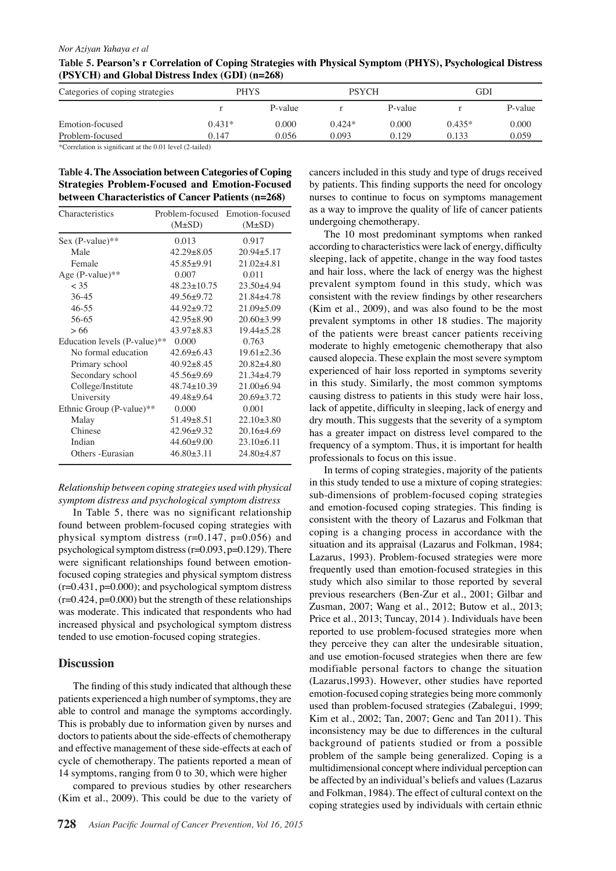#### *Nor Aziyan Yahaya et al*

**Table 5. Pearson's r Correlation of Coping Strategies with Physical Symptom (PHYS), Psychological Distress (PSYCH) and Global Distress Index (GDI) (n=268)**

| Categories of coping strategies | PHYS     |         | <b>PSYCH</b> |         | GDI      |         |
|---------------------------------|----------|---------|--------------|---------|----------|---------|
|                                 |          | P-value |              | P-value |          | P-value |
| Emotion-focused                 | $0.431*$ | 0.000   | $0.424*$     | 0.000   | $0.435*$ | 0.000   |
| Problem-focused                 | 0.147    | 0.056   | 0.093        | 0.129   | 0.133    | 0.059   |
| in a nous substitution.<br>.    |          |         |              |         |          |         |

\*Correlation is significant at the 0.01 level (2-tailed)

**Table 4. The Association between Categories of Coping Strategies Problem-Focused and Emotion-Focused between Characteristics of Cancer Patients (n=268)**

| Characteristics              |                   | Problem-focused Emotion-focused |  |  |
|------------------------------|-------------------|---------------------------------|--|--|
|                              | $(M\pm SD)$       | $(M\pm SD)$                     |  |  |
| Sex (P-value)**              | 0.013             | 0.917                           |  |  |
| Male                         | $42.29 + 8.05$    | $20.94 + 5.17$                  |  |  |
| Female                       | $45.85+9.91$      | $21.02 + 4.81$                  |  |  |
| Age $(P-value)$ **           | 0.007             | 0.011                           |  |  |
| < 35                         | $48.23 \pm 10.75$ | $23.50 + 4.94$                  |  |  |
| $36 - 45$                    | $49.56 + 9.72$    | $21.84 + 4.78$                  |  |  |
| $46 - 55$                    | $44.92 + 9.72$    | $21.09 \pm 5.09$                |  |  |
| 56-65                        | $42.95 + 8.90$    | $20.60 \pm 3.99$                |  |  |
| > 66                         | $43.97 + 8.83$    | $19.44 + 5.28$                  |  |  |
| Education levels (P-value)** | 0.000             | 0.763                           |  |  |
| No formal education          | $42.69 + 6.43$    | $19.61 + 2.36$                  |  |  |
| Primary school               | $40.92 \pm 8.45$  | $20.82 + 4.80$                  |  |  |
| Secondary school             | $45.56 \pm 9.69$  | $21.34 + 4.79$                  |  |  |
| College/Institute            | 48.74±10.39       | $21.00 + 6.94$                  |  |  |
| University                   | $49.48 + 9.64$    | $20.69 + 3.72$                  |  |  |
| Ethnic Group (P-value)**     | 0.000             | 0.001                           |  |  |
| Malay                        | $51.49 + 8.51$    | $22.10\pm3.80$                  |  |  |
| Chinese                      | $42.96 \pm 9.32$  | $20.16 \pm 4.69$                |  |  |
| Indian                       | $44.60 \pm 9.00$  | $23.10\pm 6.11$                 |  |  |
| Others - Eurasian            | $46.80 + 3.11$    | 24.80±4.87                      |  |  |

# *Relationship between coping strategies used with physical symptom distress and psychological symptom distress*

In Table 5, there was no significant relationship found between problem-focused coping strategies with physical symptom distress  $(r=0.147, p=0.056)$  and psychological symptom distress  $(r=0.093, p=0.129)$ . There were significant relationships found between emotionfocused coping strategies and physical symptom distress  $(r=0.431, p=0.000)$ ; and psychological symptom distress  $(r=0.424, p=0.000)$  but the strength of these relationships was moderate. This indicated that respondents who had increased physical and psychological symptom distress tended to use emotion-focused coping strategies.

# **Discussion**

The finding of this study indicated that although these patients experienced a high number of symptoms, they are able to control and manage the symptoms accordingly. This is probably due to information given by nurses and doctors to patients about the side-effects of chemotherapy and effective management of these side-effects at each of cycle of chemotherapy. The patients reported a mean of 14 symptoms, ranging from 0 to 30, which were higher

compared to previous studies by other researchers (Kim et al., 2009). This could be due to the variety of

by patients. This finding supports the need for oncology00.0 cancers included in this study and type of drugs received nurses to continue to focus on symptoms management as a way to improve the quality of life of cancer patients undergoing chemotherapy.

0 0 (Kim et al., 2009), and was also found to be the most  $\geq$  5.0 and hair loss, where the lack of energy was the highest50.0 The 10 most predominant symptoms when ranked<sup>75.0</sup> according to characteristics were lack of energy, difficulty sleeping, lack of appetite, change in the way food tastes prevalent symptom found in this study, which was consistent with the review findings by other researchers prevalent symptoms in other 18 studies. The majority of the patients were breast cancer patients receiving moderate to highly emetogenic chemotherapy that also caused alopecia. These explain the most severe symptom experienced of hair loss reported in symptoms severity in this study. Similarly, the most common symptoms causing distress to patients in this study were hair loss, lack of appetite, difficulty in sleeping, lack of energy and dry mouth. This suggests that the severity of a symptom has a greater impact on distress level compared to the frequency of a symptom. Thus, it is important for health professionals to focus on this issue.

In terms of coping strategies, majority of the patients in this study tended to use a mixture of coping strategies: sub-dimensions of problem-focused coping strategies and emotion-focused coping strategies. This finding is consistent with the theory of Lazarus and Folkman that coping is a changing process in accordance with the situation and its appraisal (Lazarus and Folkman, 1984; Lazarus, 1993). Problem-focused strategies were more frequently used than emotion-focused strategies in this study which also similar to those reported by several previous researchers (Ben-Zur et al., 2001; Gilbar and Zusman, 2007; Wang et al., 2012; Butow et al., 2013; Price et al., 2013; Tuncay, 2014 ). Individuals have been reported to use problem-focused strategies more when they perceive they can alter the undesirable situation, and use emotion-focused strategies when there are few modifiable personal factors to change the situation (Lazarus,1993). However, other studies have reported emotion-focused coping strategies being more commonly used than problem-focused strategies (Zabalegui, 1999; Kim et al., 2002; Tan, 2007; Genc and Tan 2011). This inconsistency may be due to differences in the cultural background of patients studied or from a possible problem of the sample being generalized. Coping is a multidimensional concept where individual perception can be affected by an individual's beliefs and values (Lazarus and Folkman, 1984). The effect of cultural context on the coping strategies used by individuals with certain ethnic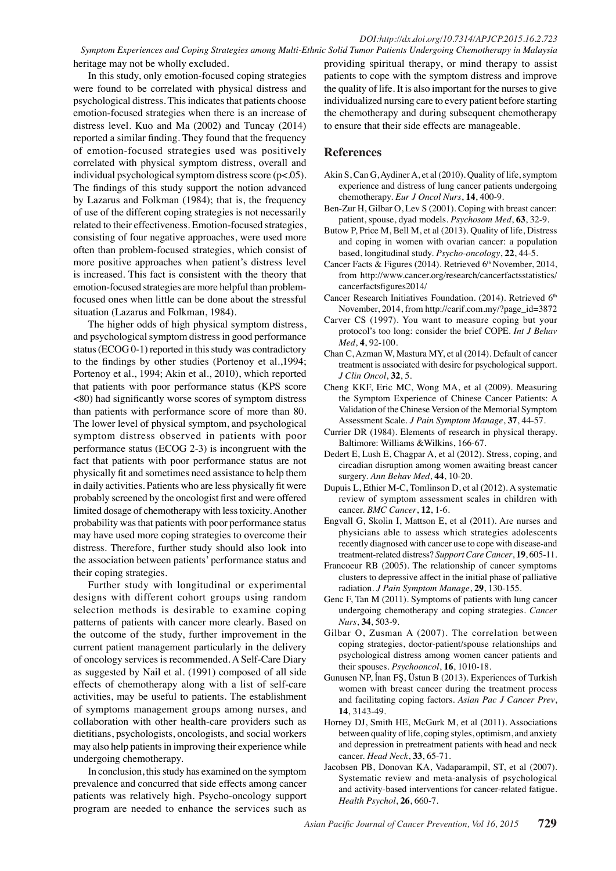*Symptom Experiences and Coping Strategies among Multi-Ethnic Solid Tumor Patients Undergoing Chemotherapy in Malaysia* heritage may not be wholly excluded.

In this study, only emotion-focused coping strategies were found to be correlated with physical distress and psychological distress. This indicates that patients choose emotion-focused strategies when there is an increase of distress level. Kuo and Ma (2002) and Tuncay (2014) reported a similar finding. They found that the frequency of emotion-focused strategies used was positively correlated with physical symptom distress, overall and individual psychological symptom distress score (p<.05). The findings of this study support the notion advanced by Lazarus and Folkman (1984); that is, the frequency of use of the different coping strategies is not necessarily related to their effectiveness. Emotion-focused strategies, consisting of four negative approaches, were used more often than problem-focused strategies, which consist of more positive approaches when patient's distress level is increased. This fact is consistent with the theory that emotion-focused strategies are more helpful than problemfocused ones when little can be done about the stressful situation (Lazarus and Folkman, 1984).

The higher odds of high physical symptom distress, and psychological symptom distress in good performance status (ECOG 0-1) reported in this study was contradictory to the findings by other studies (Portenoy et al.,1994; Portenoy et al., 1994; Akin et al., 2010), which reported that patients with poor performance status (KPS score <80) had significantly worse scores of symptom distress than patients with performance score of more than 80. The lower level of physical symptom, and psychological symptom distress observed in patients with poor performance status (ECOG 2-3) is incongruent with the fact that patients with poor performance status are not physically fit and sometimes need assistance to help them in daily activities. Patients who are less physically fit were probably screened by the oncologist first and were offered limited dosage of chemotherapy with less toxicity. Another probability was that patients with poor performance status may have used more coping strategies to overcome their distress. Therefore, further study should also look into the association between patients' performance status and their coping strategies.

Further study with longitudinal or experimental designs with different cohort groups using random selection methods is desirable to examine coping patterns of patients with cancer more clearly. Based on the outcome of the study, further improvement in the current patient management particularly in the delivery of oncology services is recommended. A Self-Care Diary as suggested by Nail et al. (1991) composed of all side effects of chemotherapy along with a list of self-care activities, may be useful to patients. The establishment of symptoms management groups among nurses, and collaboration with other health-care providers such as dietitians, psychologists, oncologists, and social workers may also help patients in improving their experience while undergoing chemotherapy.

In conclusion, this study has examined on the symptom prevalence and concurred that side effects among cancer patients was relatively high. Psycho-oncology support program are needed to enhance the services such as

providing spiritual therapy, or mind therapy to assist patients to cope with the symptom distress and improve the quality of life. It is also important for the nurses to give individualized nursing care to every patient before starting the chemotherapy and during subsequent chemotherapy to ensure that their side effects are manageable.

### **References**

- Akin S, Can G, Aydiner A, et al (2010). Quality of life, symptom experience and distress of lung cancer patients undergoing chemotherapy. *Eur J Oncol Nurs*, **14**, 400-9.
- Ben-Zur H, Gilbar O, Lev S (2001). Coping with breast cancer: patient, spouse, dyad models. *Psychosom Med*, **63**, 32-9.
- Butow P, Price M, Bell M, et al (2013). Quality of life, Distress and coping in women with ovarian cancer: a population based, longitudinal study. *Psycho-oncology*, **22**, 44-5.
- Cancer Facts & Figures (2014). Retrieved 6<sup>th</sup> November, 2014, from http://www.cancer.org/research/cancerfactsstatistics/ cancerfactsfigures2014/
- Cancer Research Initiatives Foundation. (2014). Retrieved 6<sup>th</sup> November, 2014, from http://carif.com.my/?page\_id=3872
- Carver CS (1997). You want to measure coping but your protocol's too long: consider the brief COPE. *Int J Behav Med*, **4**, 92-100.
- Chan C, Azman W, Mastura MY, et al (2014). Default of cancer treatment is associated with desire for psychological support. *J Clin Oncol*, **32**, 5.
- Cheng KKF, Eric MC, Wong MA, et al (2009). Measuring the Symptom Experience of Chinese Cancer Patients: A Validation of the Chinese Version of the Memorial Symptom Assessment Scale. *J Pain Symptom Manage*, **37**, 44-57.
- Currier DR (1984). Elements of research in physical therapy. Baltimore: Williams &Wilkins, 166-67.
- Dedert E, Lush E, Chagpar A, et al (2012). Stress, coping, and circadian disruption among women awaiting breast cancer surgery. *Ann Behav Med*, **44**, 10-20.
- Dupuis L, Ethier M-C, Tomlinson D, et al (2012). A systematic review of symptom assessment scales in children with cancer. *BMC Cancer*, **12**, 1-6.
- Engvall G, Skolin I, Mattson E, et al (2011). Are nurses and physicians able to assess which strategies adolescents recently diagnosed with cancer use to cope with disease-and treatment-related distress? *Support Care Cancer*, **19**, 605-11.
- Francoeur RB (2005). The relationship of cancer symptoms clusters to depressive affect in the initial phase of palliative radiation. *J Pain Symptom Manage*, **29**, 130-155.
- Genc F, Tan M (2011). Symptoms of patients with lung cancer undergoing chemotherapy and coping strategies. *Cancer Nurs*, **34**, 503-9.
- Gilbar O, Zusman A (2007). The correlation between coping strategies, doctor-patient/spouse relationships and psychological distress among women cancer patients and their spouses. *Psychooncol*, **16**, 1010-18.
- Gunusen NP, ĺnan FŞ, Üstun B (2013). Experiences of Turkish women with breast cancer during the treatment process and facilitating coping factors. *Asian Pac J Cancer Prev*, **14**, 3143-49.
- Horney DJ, Smith HE, McGurk M, et al (2011). Associations between quality of life, coping styles, optimism, and anxiety and depression in pretreatment patients with head and neck cancer. *Head Neck*, **33**, 65-71.
- Jacobsen PB, Donovan KA, Vadaparampil, ST, et al (2007). Systematic review and meta-analysis of psychological and activity-based interventions for cancer-related fatigue. *Health Psychol*, **26**, 660-7.